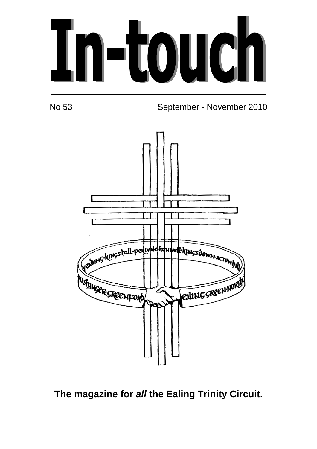

No 53 September - November 2010



**The magazine for all the Ealing Trinity Circuit.**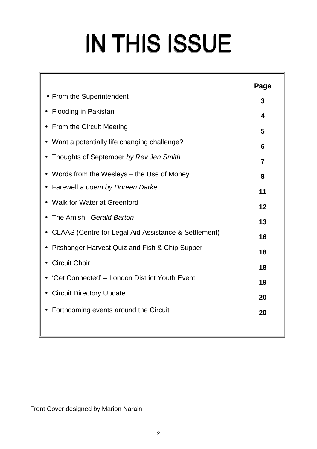# IN THIS ISSUE

|                                                        | Page |  |  |
|--------------------------------------------------------|------|--|--|
| • From the Superintendent                              | 3    |  |  |
| Flooding in Pakistan                                   | 4    |  |  |
| <b>From the Circuit Meeting</b>                        | 5    |  |  |
| Want a potentially life changing challenge?            | 6    |  |  |
| Thoughts of September by Rev Jen Smith                 | 7    |  |  |
| Words from the Wesleys – the Use of Money              | 8    |  |  |
| • Farewell a poem by Doreen Darke                      | 11   |  |  |
| <b>Walk for Water at Greenford</b>                     | 12   |  |  |
| The Amish Gerald Barton                                | 13   |  |  |
| • CLAAS (Centre for Legal Aid Assistance & Settlement) |      |  |  |
| Pitshanger Harvest Quiz and Fish & Chip Supper         |      |  |  |
| <b>Circuit Choir</b>                                   |      |  |  |
| 'Get Connected' - London District Youth Event          |      |  |  |
| • Circuit Directory Update                             |      |  |  |
| Forthcoming events around the Circuit                  | 20   |  |  |

Front Cover designed by Marion Narain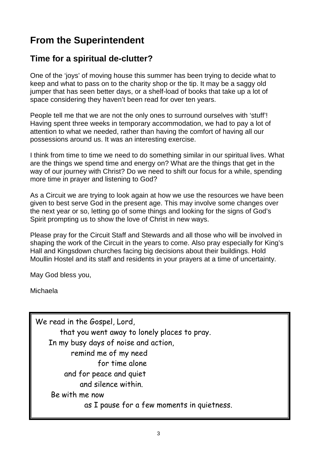#### **From the Superintendent**

#### **Time for a spiritual de-clutter?**

One of the 'joys' of moving house this summer has been trying to decide what to keep and what to pass on to the charity shop or the tip. It may be a saggy old jumper that has seen better days, or a shelf-load of books that take up a lot of space considering they haven't been read for over ten years.

People tell me that we are not the only ones to surround ourselves with 'stuff'! Having spent three weeks in temporary accommodation, we had to pay a lot of attention to what we needed, rather than having the comfort of having all our possessions around us. It was an interesting exercise.

I think from time to time we need to do something similar in our spiritual lives. What are the things we spend time and energy on? What are the things that get in the way of our journey with Christ? Do we need to shift our focus for a while, spending more time in prayer and listening to God?

As a Circuit we are trying to look again at how we use the resources we have been given to best serve God in the present age. This may involve some changes over the next year or so, letting go of some things and looking for the signs of God's Spirit prompting us to show the love of Christ in new ways.

Please pray for the Circuit Staff and Stewards and all those who will be involved in shaping the work of the Circuit in the years to come. Also pray especially for King's Hall and Kingsdown churches facing big decisions about their buildings. Hold Moullin Hostel and its staff and residents in your prayers at a time of uncertainty.

May God bless you,

Michaela

We read in the Gospel, Lord, that you went away to lonely places to pray. In my busy days of noise and action, remind me of my need for time alone and for peace and quiet and silence within. Be with me now as I pause for a few moments in quietness.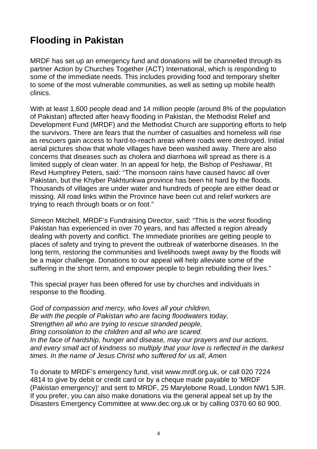#### **Flooding in Pakistan**

MRDF has set up an emergency fund and donations will be channelled through its partner Action by Churches Together (ACT) International, which is responding to some of the immediate needs. This includes providing food and temporary shelter to some of the most vulnerable communities, as well as setting up mobile health clinics.

With at least 1,600 people dead and 14 million people (around 8% of the population of Pakistan) affected after heavy flooding in Pakistan, the Methodist Relief and Development Fund (MRDF) and the Methodist Church are supporting efforts to help the survivors. There are fears that the number of casualties and homeless will rise as rescuers gain access to hard-to-reach areas where roads were destroyed. Initial aerial pictures show that whole villages have been washed away. There are also concerns that diseases such as cholera and diarrhoea will spread as there is a limited supply of clean water. In an appeal for help, the Bishop of Peshawar, Rt Revd Humphrey Peters, said: "The monsoon rains have caused havoc all over Pakistan, but the Khyber Pakhtunkwa province has been hit hard by the floods. Thousands of villages are under water and hundreds of people are either dead or missing. All road links within the Province have been cut and relief workers are trying to reach through boats or on foot."

Simeon Mitchell, MRDF's Fundraising Director, said: "This is the worst flooding Pakistan has experienced in over 70 years, and has affected a region already dealing with poverty and conflict. The immediate priorities are getting people to places of safety and trying to prevent the outbreak of waterborne diseases. In the long term, restoring the communities and livelihoods swept away by the floods will be a major challenge. Donations to our appeal will help alleviate some of the suffering in the short term, and empower people to begin rebuilding their lives."

This special prayer has been offered for use by churches and individuals in response to the flooding.

God of compassion and mercy, who loves all your children, Be with the people of Pakistan who are facing floodwaters today, Strengthen all who are trying to rescue stranded people, Bring consolation to the children and all who are scared. In the face of hardship, hunger and disease, may our prayers and our actions, and every small act of kindness so multiply that your love is reflected in the darkest times. In the name of Jesus Christ who suffered for us all, Amen

To donate to MRDF's emergency fund, visit www.mrdf.org.uk, or call 020 7224 4814 to give by debit or credit card or by a cheque made payable to 'MRDF (Pakistan emergency)' and sent to MRDF, 25 Marylebone Road, London NW1 5JR. If you prefer, you can also make donations via the general appeal set up by the Disasters Emergency Committee at www.dec.org.uk or by calling 0370 60 60 900.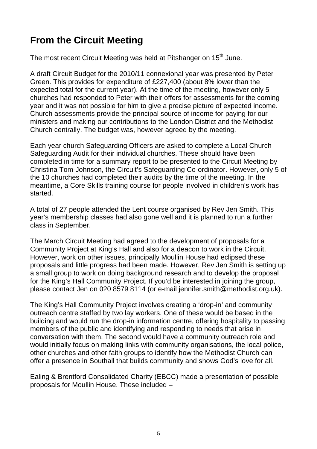## **From the Circuit Meeting**

The most recent Circuit Meeting was held at Pitshanger on 15<sup>th</sup> June.

A draft Circuit Budget for the 2010/11 connexional year was presented by Peter Green. This provides for expenditure of £227,400 (about 8% lower than the expected total for the current year). At the time of the meeting, however only 5 churches had responded to Peter with their offers for assessments for the coming year and it was not possible for him to give a precise picture of expected income. Church assessments provide the principal source of income for paying for our ministers and making our contributions to the London District and the Methodist Church centrally. The budget was, however agreed by the meeting.

Each year church Safeguarding Officers are asked to complete a Local Church Safeguarding Audit for their individual churches. These should have been completed in time for a summary report to be presented to the Circuit Meeting by Christina Tom-Johnson, the Circuit's Safeguarding Co-ordinator. However, only 5 of the 10 churches had completed their audits by the time of the meeting. In the meantime, a Core Skills training course for people involved in children's work has started.

A total of 27 people attended the Lent course organised by Rev Jen Smith. This year's membership classes had also gone well and it is planned to run a further class in September.

The March Circuit Meeting had agreed to the development of proposals for a Community Project at King's Hall and also for a deacon to work in the Circuit. However, work on other issues, principally Moullin House had eclipsed these proposals and little progress had been made. However, Rev Jen Smith is setting up a small group to work on doing background research and to develop the proposal for the King's Hall Community Project. If you'd be interested in joining the group, please contact Jen on 020 8579 8114 (or e-mail jennifer.smith@methodist.org.uk).

The King's Hall Community Project involves creating a 'drop-in' and community outreach centre staffed by two lay workers. One of these would be based in the building and would run the drop-in information centre, offering hospitality to passing members of the public and identifying and responding to needs that arise in conversation with them. The second would have a community outreach role and would initially focus on making links with community organisations, the local police, other churches and other faith groups to identify how the Methodist Church can offer a presence in Southall that builds community and shows God's love for all.

Ealing & Brentford Consolidated Charity (EBCC) made a presentation of possible proposals for Moullin House. These included –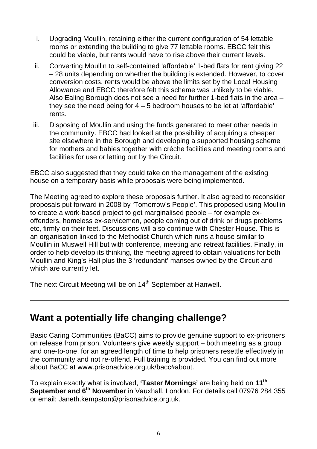- i. Upgrading Moullin, retaining either the current configuration of 54 lettable rooms or extending the building to give 77 lettable rooms. EBCC felt this could be viable, but rents would have to rise above their current levels.
- ii. Converting Moullin to self-contained 'affordable' 1-bed flats for rent giving 22 – 28 units depending on whether the building is extended. However, to cover conversion costs, rents would be above the limits set by the Local Housing Allowance and EBCC therefore felt this scheme was unlikely to be viable. Also Ealing Borough does not see a need for further 1-bed flats in the area – they see the need being for  $4 - 5$  bedroom houses to be let at 'affordable' rents.
- iii. Disposing of Moullin and using the funds generated to meet other needs in the community. EBCC had looked at the possibility of acquiring a cheaper site elsewhere in the Borough and developing a supported housing scheme for mothers and babies together with crèche facilities and meeting rooms and facilities for use or letting out by the Circuit.

EBCC also suggested that they could take on the management of the existing house on a temporary basis while proposals were being implemented.

The Meeting agreed to explore these proposals further. It also agreed to reconsider proposals put forward in 2008 by 'Tomorrow's People'. This proposed using Moullin to create a work-based project to get marginalised people – for example exoffenders, homeless ex-servicemen, people coming out of drink or drugs problems etc, firmly on their feet. Discussions will also continue with Chester House. This is an organisation linked to the Methodist Church which runs a house similar to Moullin in Muswell Hill but with conference, meeting and retreat facilities. Finally, in order to help develop its thinking, the meeting agreed to obtain valuations for both Moullin and King's Hall plus the 3 'redundant' manses owned by the Circuit and which are currently let.

The next Circuit Meeting will be on 14<sup>th</sup> September at Hanwell.

#### **Want a potentially life changing challenge?**

Basic Caring Communities (BaCC) aims to provide genuine support to ex-prisoners on release from prison. Volunteers give weekly support – both meeting as a group and one-to-one, for an agreed length of time to help prisoners resettle effectively in the community and not re-offend. Full training is provided. You can find out more about BaCC at www.prisonadvice.org.uk/bacc#about.

To explain exactly what is involved, **'Taster Mornings'** are being held on **11th September and 6th November** in Vauxhall, London. For details call 07976 284 355 or email: Janeth.kempston@prisonadvice.org.uk.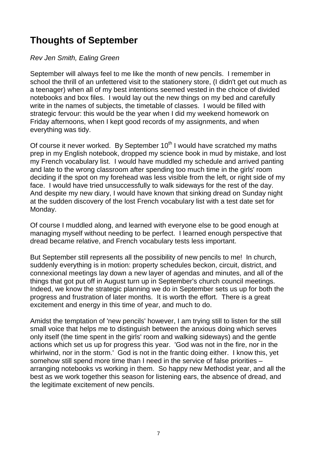## **Thoughts of September**

Rev Jen Smith, Ealing Green

September will always feel to me like the month of new pencils. I remember in school the thrill of an unfettered visit to the stationery store, (I didn't get out much as a teenager) when all of my best intentions seemed vested in the choice of divided notebooks and box files. I would lay out the new things on my bed and carefully write in the names of subjects, the timetable of classes. I would be filled with strategic fervour: this would be the year when I did my weekend homework on Friday afternoons, when I kept good records of my assignments, and when everything was tidy.

Of course it never worked. By September  $10<sup>th</sup>$  I would have scratched my maths prep in my English notebook, dropped my science book in mud by mistake, and lost my French vocabulary list. I would have muddled my schedule and arrived panting and late to the wrong classroom after spending too much time in the girls' room deciding if the spot on my forehead was less visible from the left, or right side of my face. I would have tried unsuccessfully to walk sideways for the rest of the day. And despite my new diary, I would have known that sinking dread on Sunday night at the sudden discovery of the lost French vocabulary list with a test date set for Monday.

Of course I muddled along, and learned with everyone else to be good enough at managing myself without needing to be perfect. I learned enough perspective that dread became relative, and French vocabulary tests less important.

But September still represents all the possibility of new pencils to me! In church, suddenly everything is in motion: property schedules beckon, circuit, district, and connexional meetings lay down a new layer of agendas and minutes, and all of the things that got put off in August turn up in September's church council meetings. Indeed, we know the strategic planning we do in September sets us up for both the progress and frustration of later months. It is worth the effort. There is a great excitement and energy in this time of year, and much to do.

Amidst the temptation of 'new pencils' however, I am trying still to listen for the still small voice that helps me to distinguish between the anxious doing which serves only itself (the time spent in the girls' room and walking sideways) and the gentle actions which set us up for progress this year. 'God was not in the fire, nor in the whirlwind, nor in the storm.' God is not in the frantic doing either. I know this, yet somehow still spend more time than I need in the service of false priorities – arranging notebooks vs working in them. So happy new Methodist year, and all the best as we work together this season for listening ears, the absence of dread, and the legitimate excitement of new pencils.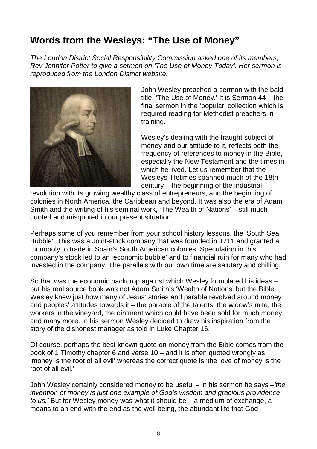## **Words from the Wesleys: "The Use of Money"**

The London District Social Responsibility Commission asked one of its members, Rev Jennifer Potter to give a sermon on 'The Use of Money Today'. Her sermon is reproduced from the London District website.



John Wesley preached a sermon with the bald title, 'The Use of Money.' It is Sermon 44 – the final sermon in the 'popular' collection which is required reading for Methodist preachers in training.

Wesley's dealing with the fraught subject of money and our attitude to it, reflects both the frequency of references to money in the Bible, especially the New Testament and the times in which he lived. Let us remember that the Wesleys' lifetimes spanned much of the 18th century – the beginning of the industrial

revolution with its growing wealthy class of entrepreneurs, and the beginning of colonies in North America, the Caribbean and beyond. It was also the era of Adam Smith and the writing of his seminal work, 'The Wealth of Nations' – still much quoted and misquoted in our present situation.

Perhaps some of you remember from your school history lessons, the 'South Sea Bubble'. This was a Joint-stock company that was founded in 1711 and granted a monopoly to trade in Spain's South American colonies. Speculation in this company's stock led to an 'economic bubble' and to financial ruin for many who had invested in the company. The parallels with our own time are salutary and chilling.

So that was the economic backdrop against which Wesley formulated his ideas – but his real source book was not Adam Smith's 'Wealth of Nations' but the Bible. Wesley knew just how many of Jesus' stories and parable revolved around money and peoples' attitudes towards it – the parable of the talents, the widow's mite, the workers in the vineyard, the ointment which could have been sold for much money, and many more. In his sermon Wesley decided to draw his inspiration from the story of the dishonest manager as told in Luke Chapter 16.

Of course, perhaps the best known quote on money from the Bible comes from the book of 1 Timothy chapter 6 and verse 10 – and it is often quoted wrongly as 'money is the root of all evil' whereas the correct quote is 'the love of money is the root of all evil.'

John Wesley certainly considered money to be useful – in his sermon he says  $-i$ the invention of money is just one example of God's wisdom and gracious providence to us.' But for Wesley money was what it should be – a medium of exchange, a means to an end with the end as the well being, the abundant life that God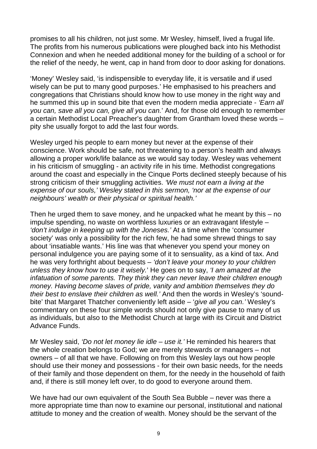promises to all his children, not just some. Mr Wesley, himself, lived a frugal life. The profits from his numerous publications were ploughed back into his Methodist Connexion and when he needed additional money for the building of a school or for the relief of the needy, he went, cap in hand from door to door asking for donations.

'Money' Wesley said, 'is indispensible to everyday life, it is versatile and if used wisely can be put to many good purposes.' He emphasised to his preachers and congregations that Christians should know how to use money in the right way and he summed this up in sound bite that even the modern media appreciate - 'Earn all you can, save all you can, give all you can.' And, for those old enough to remember a certain Methodist Local Preacher's daughter from Grantham loved these words – pity she usually forgot to add the last four words.

Wesley urged his people to earn money but never at the expense of their conscience. Work should be safe, not threatening to a person's health and always allowing a proper work/life balance as we would say today. Wesley was vehement in his criticism of smuggling - an activity rife in his time. Methodist congregations around the coast and especially in the Cinque Ports declined steeply because of his strong criticism of their smuggling activities. 'We must not earn a living at the expense of our souls,' Wesley stated in this sermon, 'nor at the expense of our neighbours' wealth or their physical or spiritual health.'

Then he urged them to save money, and he unpacked what he meant by this – no impulse spending, no waste on worthless luxuries or an extravagant lifestyle – 'don't indulge in keeping up with the Joneses.' At a time when the 'consumer society' was only a possibility for the rich few, he had some shrewd things to say about 'insatiable wants.' His line was that whenever you spend your money on personal indulgence you are paying some of it to sensuality, as a kind of tax. And he was very forthright about bequests – 'don't leave your money to your children unless they know how to use it wisely.' He goes on to say, 'I am amazed at the infatuation of some parents. They think they can never leave their children enough money. Having become slaves of pride, vanity and ambition themselves they do their best to enslave their children as well.' And then the words in Wesley's 'soundbite' that Margaret Thatcher conveniently left aside – 'give all you can.' Wesley's commentary on these four simple words should not only give pause to many of us as individuals, but also to the Methodist Church at large with its Circuit and District Advance Funds.

Mr Wesley said, 'Do not let money lie idle – use it.' He reminded his hearers that the whole creation belongs to God; we are merely stewards or managers – not owners – of all that we have. Following on from this Wesley lays out how people should use their money and possessions - for their own basic needs, for the needs of their family and those dependent on them, for the needy in the household of faith and, if there is still money left over, to do good to everyone around them.

We have had our own equivalent of the South Sea Bubble – never was there a more appropriate time than now to examine our personal, institutional and national attitude to money and the creation of wealth. Money should be the servant of the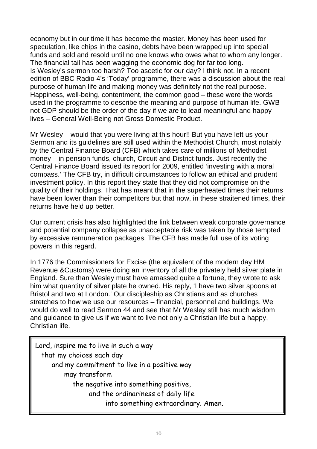economy but in our time it has become the master. Money has been used for speculation, like chips in the casino, debts have been wrapped up into special funds and sold and resold until no one knows who owes what to whom any longer. The financial tail has been wagging the economic dog for far too long. Is Wesley's sermon too harsh? Too ascetic for our day? I think not. In a recent edition of BBC Radio 4's 'Today' programme, there was a discussion about the real purpose of human life and making money was definitely not the real purpose. Happiness, well-being, contentment, the common good – these were the words used in the programme to describe the meaning and purpose of human life. GWB not GDP should be the order of the day if we are to lead meaningful and happy lives – General Well-Being not Gross Domestic Product.

Mr Wesley – would that you were living at this hour!! But you have left us your Sermon and its guidelines are still used within the Methodist Church, most notably by the Central Finance Board (CFB) which takes care of millions of Methodist money – in pension funds, church, Circuit and District funds. Just recently the Central Finance Board issued its report for 2009, entitled 'investing with a moral compass.' The CFB try, in difficult circumstances to follow an ethical and prudent investment policy. In this report they state that they did not compromise on the quality of their holdings. That has meant that in the superheated times their returns have been lower than their competitors but that now, in these straitened times, their returns have held up better.

Our current crisis has also highlighted the link between weak corporate governance and potential company collapse as unacceptable risk was taken by those tempted by excessive remuneration packages. The CFB has made full use of its voting powers in this regard.

In 1776 the Commissioners for Excise (the equivalent of the modern day HM Revenue &Customs) were doing an inventory of all the privately held silver plate in England. Sure than Wesley must have amassed quite a fortune, they wrote to ask him what quantity of silver plate he owned. His reply, 'I have two silver spoons at Bristol and two at London.' Our discipleship as Christians and as churches stretches to how we use our resources – financial, personnel and buildings. We would do well to read Sermon 44 and see that Mr Wesley still has much wisdom and guidance to give us if we want to live not only a Christian life but a happy, Christian life.

Lord, inspire me to live in such a way that my choices each day and my commitment to live in a positive way may transform the negative into something positive, and the ordinariness of daily life into something extraordinary. Amen.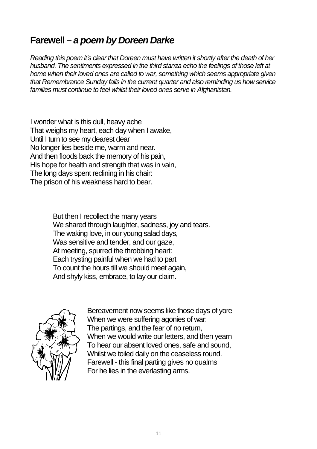#### **Farewell – a poem by Doreen Darke**

Reading this poem it's clear that Doreen must have written it shortly after the death of her husband. The sentiments expressed in the third stanza echo the feelings of those left at home when their loved ones are called to war, something which seems appropriate given that Remembrance Sunday falls in the current quarter and also reminding us how service families must continue to feel whilst their loved ones serve in Afghanistan.

I wonder what is this dull, heavy ache That weighs my heart, each day when I awake, Until I turn to see my dearest dear No longer lies beside me, warm and near. And then floods back the memory of his pain, His hope for health and strength that was in vain, The long days spent reclining in his chair: The prison of his weakness hard to bear.

> But then I recollect the many years We shared through laughter, sadness, joy and tears. The waking love, in our young salad days, Was sensitive and tender, and our gaze. At meeting, spurred the throbbing heart: Each trysting painful when we had to part To count the hours till we should meet again, And shyly kiss, embrace, to lay our claim.



Bereavement now seems like those days of yore When we were suffering agonies of war: The partings, and the fear of no return, When we would write our letters, and then yearn To hear our absent loved ones, safe and sound, Whilst we toiled daily on the ceaseless round. Farewell - this final parting gives no qualms For he lies in the everlasting arms.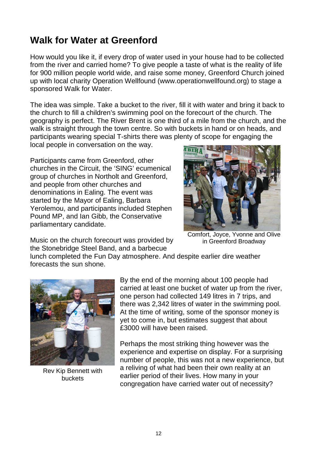#### **Walk for Water at Greenford**

How would you like it, if every drop of water used in your house had to be collected from the river and carried home? To give people a taste of what is the reality of life for 900 million people world wide, and raise some money, Greenford Church joined up with local charity Operation Wellfound (www.operationwellfound.org) to stage a sponsored Walk for Water.

The idea was simple. Take a bucket to the river, fill it with water and bring it back to the church to fill a children's swimming pool on the forecourt of the church. The geography is perfect. The River Brent is one third of a mile from the church, and the walk is straight through the town centre. So with buckets in hand or on heads, and participants wearing special T-shirts there was plenty of scope for engaging the

local people in conversation on the way.

Participants came from Greenford, other churches in the Circuit, the 'SING' ecumenical group of churches in Northolt and Greenford, and people from other churches and denominations in Ealing. The event was started by the Mayor of Ealing, Barbara Yerolemou, and participants included Stephen Pound MP, and Ian Gibb, the Conservative parliamentary candidate.



Music on the church forecourt was provided by the Stonebridge Steel Band, and a barbecue

Comfort, Joyce, Yvonne and Olive in Greenford Broadway

lunch completed the Fun Day atmosphere. And despite earlier dire weather forecasts the sun shone.



Rev Kip Bennett with buckets

By the end of the morning about 100 people had carried at least one bucket of water up from the river, one person had collected 149 litres in 7 trips, and there was 2,342 litres of water in the swimming pool. At the time of writing, some of the sponsor money is yet to come in, but estimates suggest that about £3000 will have been raised.

Perhaps the most striking thing however was the experience and expertise on display. For a surprising number of people, this was not a new experience, but a reliving of what had been their own reality at an earlier period of their lives. How many in your congregation have carried water out of necessity?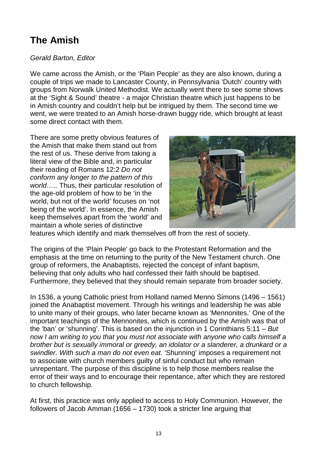## **The Amish**

#### Gerald Barton, Editor

We came across the Amish, or the 'Plain People' as they are also known, during a couple of trips we made to Lancaster County, in Pennsylvania 'Dutch' country with groups from Norwalk United Methodist. We actually went there to see some shows at the 'Sight & Sound' theatre - a major Christian theatre which just happens to be in Amish country and couldn't help but be intrigued by them. The second time we went, we were treated to an Amish horse-drawn buggy ride, which brought at least some direct contact with them.

There are some pretty obvious features of the Amish that make them stand out from the rest of us. These derive from taking a literal view of the Bible and, in particular their reading of Romans 12:2 Do not conform any longer to the pattern of this world….. Thus, their particular resolution of the age-old problem of how to be 'in the world, but not of the world' focuses on 'not being of the world'. In essence, the Amish keep themselves apart from the 'world' and maintain a whole series of distinctive



features which identify and mark themselves off from the rest of society.

The origins of the 'Plain People' go back to the Protestant Reformation and the emphasis at the time on returning to the purity of the New Testament church. One group of reformers, the Anabaptists, rejected the concept of infant baptism, believing that only adults who had confessed their faith should be baptised. Furthermore, they believed that they should remain separate from broader society.

In 1536, a young Catholic priest from Holland named Menno Simons (1496 – 1561) joined the Anabaptist movement. Through his writings and leadership he was able to unite many of their groups, who later became known as 'Mennonites.' One of the important teachings of the Mennonites, which is continued by the Amish was that of the 'ban' or 'shunning'. This is based on the injunction in 1 Corinthians  $5:11 - But$ now I am writing to you that you must not associate with anyone who calls himself a brother but is sexually immoral or greedy, an idolator or a slanderer, a drunkard or a swindler. With such a man do not even eat. 'Shunning' imposes a requirement not to associate with church members guilty of sinful conduct but who remain unrepentant. The purpose of this discipline is to help those members realise the error of their ways and to encourage their repentance, after which they are restored to church fellowship.

At first, this practice was only applied to access to Holy Communion. However, the followers of Jacob Amman (1656 – 1730) took a stricter line arguing that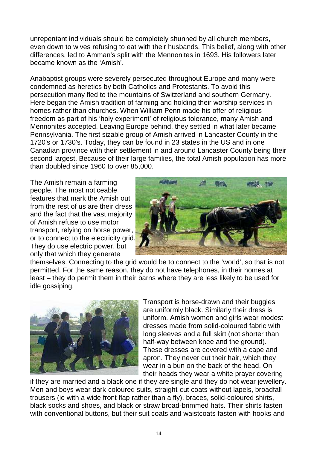unrepentant individuals should be completely shunned by all church members, even down to wives refusing to eat with their husbands. This belief, along with other differences, led to Amman's split with the Mennonites in 1693. His followers later became known as the 'Amish'.

Anabaptist groups were severely persecuted throughout Europe and many were condemned as heretics by both Catholics and Protestants. To avoid this persecution many fled to the mountains of Switzerland and southern Germany. Here began the Amish tradition of farming and holding their worship services in homes rather than churches. When William Penn made his offer of religious freedom as part of his 'holy experiment' of religious tolerance, many Amish and Mennonites accepted. Leaving Europe behind, they settled in what later became Pennsylvania. The first sizable group of Amish arrived in Lancaster County in the 1720's or 1730's. Today, they can be found in 23 states in the US and in one Canadian province with their settlement in and around Lancaster County being their second largest. Because of their large families, the total Amish population has more than doubled since 1960 to over 85,000.

The Amish remain a farming people. The most noticeable features that mark the Amish out from the rest of us are their dress and the fact that the vast majority of Amish refuse to use motor transport, relying on horse power, or to connect to the electricity grid. They do use electric power, but only that which they generate



themselves. Connecting to the grid would be to connect to the 'world', so that is not permitted. For the same reason, they do not have telephones, in their homes at least – they do permit them in their barns where they are less likely to be used for idle gossiping.



Transport is horse-drawn and their buggies are uniformly black. Similarly their dress is uniform. Amish women and girls wear modest dresses made from solid-coloured fabric with long sleeves and a full skirt (not shorter than half-way between knee and the ground). These dresses are covered with a cape and apron. They never cut their hair, which they wear in a bun on the back of the head. On their heads they wear a white prayer covering

if they are married and a black one if they are single and they do not wear jewellery. Men and boys wear dark-coloured suits, straight-cut coats without lapels, broadfall trousers (ie with a wide front flap rather than a fly), braces, solid-coloured shirts, black socks and shoes, and black or straw broad-brimmed hats. Their shirts fasten with conventional buttons, but their suit coats and waistcoats fasten with hooks and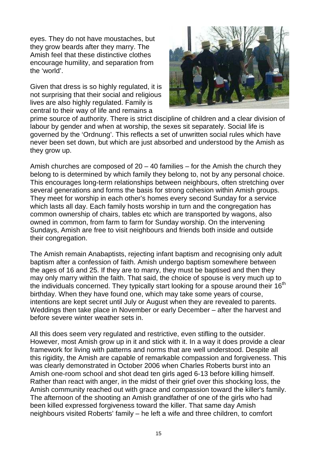eyes. They do not have moustaches, but they grow beards after they marry. The Amish feel that these distinctive clothes encourage humility, and separation from the 'world'.

Given that dress is so highly regulated, it is not surprising that their social and religious lives are also highly regulated. Family is central to their way of life and remains a



prime source of authority. There is strict discipline of children and a clear division of labour by gender and when at worship, the sexes sit separately. Social life is governed by the 'Ordnung'. This reflects a set of unwritten social rules which have never been set down, but which are just absorbed and understood by the Amish as they grow up.

Amish churches are composed of  $20 - 40$  families – for the Amish the church they belong to is determined by which family they belong to, not by any personal choice. This encourages long-term relationships between neighbours, often stretching over several generations and forms the basis for strong cohesion within Amish groups. They meet for worship in each other's homes every second Sunday for a service which lasts all day. Each family hosts worship in turn and the congregation has common ownership of chairs, tables etc which are transported by wagons, also owned in common, from farm to farm for Sunday worship. On the intervening Sundays, Amish are free to visit neighbours and friends both inside and outside their congregation.

The Amish remain Anabaptists, rejecting infant baptism and recognising only adult baptism after a confession of faith. Amish undergo baptism somewhere between the ages of 16 and 25. If they are to marry, they must be baptised and then they may only marry within the faith. That said, the choice of spouse is very much up to the individuals concerned. They typically start looking for a spouse around their 16<sup>th</sup> birthday. When they have found one, which may take some years of course, intentions are kept secret until July or August when they are revealed to parents. Weddings then take place in November or early December – after the harvest and before severe winter weather sets in.

All this does seem very regulated and restrictive, even stifling to the outsider. However, most Amish grow up in it and stick with it. In a way it does provide a clear framework for living with patterns and norms that are well understood. Despite all this rigidity, the Amish are capable of remarkable compassion and forgiveness. This was clearly demonstrated in October 2006 when Charles Roberts burst into an Amish one-room school and shot dead ten girls aged 6-13 before killing himself. Rather than react with anger, in the midst of their grief over this shocking loss, the Amish community reached out with grace and compassion toward the killer's family. The afternoon of the shooting an Amish grandfather of one of the girls who had been killed expressed forgiveness toward the killer. That same day Amish neighbours visited Roberts' family – he left a wife and three children, to comfort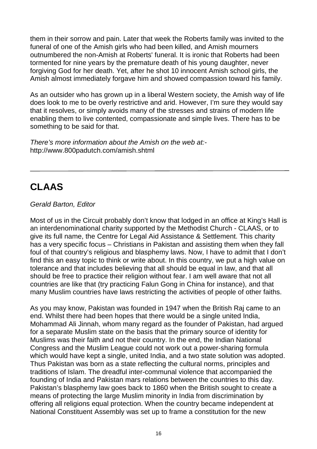them in their sorrow and pain. Later that week the Roberts family was invited to the funeral of one of the Amish girls who had been killed, and Amish mourners outnumbered the non-Amish at Roberts' funeral. It is ironic that Roberts had been tormented for nine years by the premature death of his young daughter, never forgiving God for her death. Yet, after he shot 10 innocent Amish school girls, the Amish almost immediately forgave him and showed compassion toward his family.

As an outsider who has grown up in a liberal Western society, the Amish way of life does look to me to be overly restrictive and arid. However, I'm sure they would say that it resolves, or simply avoids many of the stresses and strains of modern life enabling them to live contented, compassionate and simple lives. There has to be something to be said for that.

There's more information about the Amish on the web at: http://www.800padutch.com/amish.shtml

## **CLAAS**

#### Gerald Barton, Editor

Most of us in the Circuit probably don't know that lodged in an office at King's Hall is an interdenominational charity supported by the Methodist Church - CLAAS, or to give its full name, the Centre for Legal Aid Assistance & Settlement. This charity has a very specific focus – Christians in Pakistan and assisting them when they fall foul of that country's religious and blasphemy laws. Now, I have to admit that I don't find this an easy topic to think or write about. In this country, we put a high value on tolerance and that includes believing that all should be equal in law, and that all should be free to practice their religion without fear. I am well aware that not all countries are like that (try practicing Falun Gong in China for instance), and that many Muslim countries have laws restricting the activities of people of other faiths.

As you may know, Pakistan was founded in 1947 when the British Raj came to an end. Whilst there had been hopes that there would be a single united India, Mohammad Ali Jinnah, whom many regard as the founder of Pakistan, had argued for a separate Muslim state on the basis that the primary source of identity for Muslims was their faith and not their country. In the end, the Indian National Congress and the Muslim League could not work out a power-sharing formula which would have kept a single, united India, and a two state solution was adopted. Thus Pakistan was born as a state reflecting the cultural norms, principles and traditions of Islam. The dreadful inter-communal violence that accompanied the founding of India and Pakistan mars relations between the countries to this day. Pakistan's blasphemy law goes back to 1860 when the British sought to create a means of protecting the large Muslim minority in India from discrimination by offering all religions equal protection. When the country became independent at National Constituent Assembly was set up to frame a constitution for the new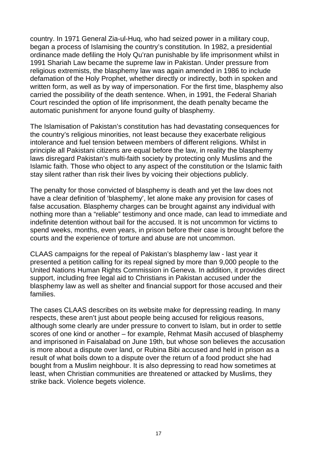country. In 1971 General Zia-ul-Huq, who had seized power in a military coup, began a process of Islamising the country's constitution. In 1982, a presidential ordinance made defiling the Holy Qu'ran punishable by life imprisonment whilst in 1991 Shariah Law became the supreme law in Pakistan. Under pressure from religious extremists, the blasphemy law was again amended in 1986 to include defamation of the Holy Prophet, whether directly or indirectly, both in spoken and written form, as well as by way of impersonation. For the first time, blasphemy also carried the possibility of the death sentence. When, in 1991, the Federal Shariah Court rescinded the option of life imprisonment, the death penalty became the automatic punishment for anyone found guilty of blasphemy.

The Islamisation of Pakistan's constitution has had devastating consequences for the country's religious minorities, not least because they exacerbate religious intolerance and fuel tension between members of different religions. Whilst in principle all Pakistani citizens are equal before the law, in reality the blasphemy laws disregard Pakistan's multi-faith society by protecting only Muslims and the Islamic faith. Those who object to any aspect of the constitution or the Islamic faith stay silent rather than risk their lives by voicing their objections publicly.

The penalty for those convicted of blasphemy is death and yet the law does not have a clear definition of 'blasphemy', let alone make any provision for cases of false accusation. Blasphemy charges can be brought against any individual with nothing more than a "reliable" testimony and once made, can lead to immediate and indefinite detention without bail for the accused. It is not uncommon for victims to spend weeks, months, even years, in prison before their case is brought before the courts and the experience of torture and abuse are not uncommon.

CLAAS campaigns for the repeal of Pakistan's blasphemy law - last year it presented a petition calling for its repeal signed by more than 9,000 people to the United Nations Human Rights Commission in Geneva. In addition, it provides direct support, including free legal aid to Christians in Pakistan accused under the blasphemy law as well as shelter and financial support for those accused and their families.

The cases CLAAS describes on its website make for depressing reading. In many respects, these aren't just about people being accused for religious reasons, although some clearly are under pressure to convert to Islam, but in order to settle scores of one kind or another – for example, Rehmat Masih accused of blasphemy and imprisoned in Faisalabad on June 19th, but whose son believes the accusation is more about a dispute over land, or Rubina Bibi accused and held in prison as a result of what boils down to a dispute over the return of a food product she had bought from a Muslim neighbour. It is also depressing to read how sometimes at least, when Christian communities are threatened or attacked by Muslims, they strike back. Violence begets violence.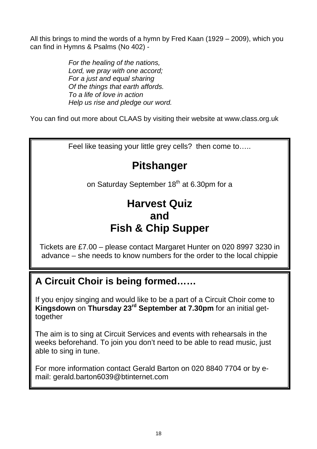All this brings to mind the words of a hymn by Fred Kaan (1929 – 2009), which you can find in Hymns & Psalms (No 402) -

> For the healing of the nations, Lord, we pray with one accord; For a just and equal sharing Of the things that earth affords. To a life of love in action Help us rise and pledge our word.

You can find out more about CLAAS by visiting their website at www.class.org.uk

Feel like teasing your little grey cells? then come to…..

## **Pitshanger**

on Saturday September 18<sup>th</sup> at 6.30pm for a

## **Harvest Quiz and Fish & Chip Supper**

Tickets are £7.00 – please contact Margaret Hunter on 020 8997 3230 in advance – she needs to know numbers for the order to the local chippie

#### **A Circuit Choir is being formed……**

If you enjoy singing and would like to be a part of a Circuit Choir come to **Kingsdown** on **Thursday 23rd September at 7.30pm** for an initial gettogether

The aim is to sing at Circuit Services and events with rehearsals in the weeks beforehand. To join you don't need to be able to read music, just able to sing in tune.

For more information contact Gerald Barton on 020 8840 7704 or by email: gerald.barton6039@btinternet.com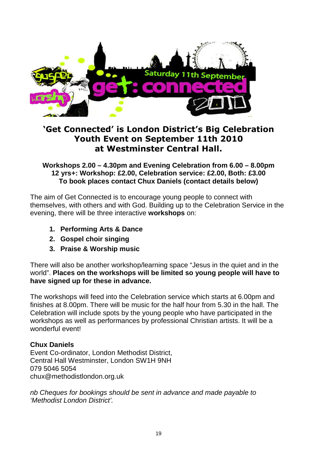

#### **'Get Connected' is London District's Big Celebration Youth Event on September 11th 2010 at Westminster Central Hall.**

**Workshops 2.00 – 4.30pm and Evening Celebration from 6.00 – 8.00pm 12 yrs+: Workshop: £2.00, Celebration service: £2.00, Both: £3.00 To book places contact Chux Daniels (contact details below)** 

The aim of Get Connected is to encourage young people to connect with themselves, with others and with God. Building up to the Celebration Service in the evening, there will be three interactive **workshops** on:

- **1. Performing Arts & Dance**
- **2. Gospel choir singing**
- **3. Praise & Worship music**

There will also be another workshop/learning space "Jesus in the quiet and in the world". **Places on the workshops will be limited so young people will have to have signed up for these in advance.** 

The workshops will feed into the Celebration service which starts at 6.00pm and finishes at 8.00pm. There will be music for the half hour from 5.30 in the hall. The Celebration will include spots by the young people who have participated in the workshops as well as performances by professional Christian artists. It will be a wonderful event!

#### **Chux Daniels**

Event Co-ordinator, London Methodist District, Central Hall Westminster, London SW1H 9NH 079 5046 5054 chux@methodistlondon.org.uk

nb Cheques for bookings should be sent in advance and made payable to 'Methodist London District'.